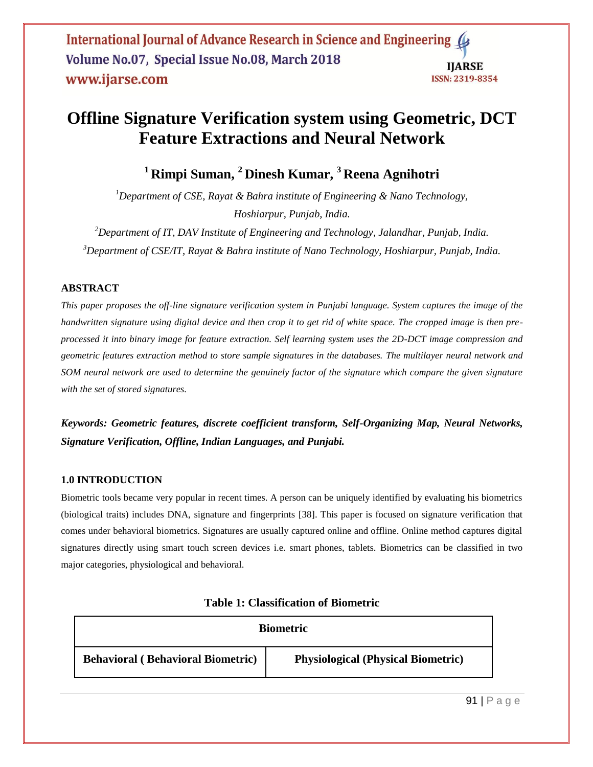# **Offline Signature Verification system using Geometric, DCT Feature Extractions and Neural Network**

**<sup>1</sup>Rimpi Suman, <sup>2</sup>Dinesh Kumar, <sup>3</sup>Reena Agnihotri**

*<sup>1</sup>Department of CSE, Rayat & Bahra institute of Engineering & Nano Technology, Hoshiarpur, Punjab, India.*

*<sup>2</sup>Department of IT, DAV Institute of Engineering and Technology, Jalandhar, Punjab, India. <sup>3</sup>Department of CSE/IT, Rayat & Bahra institute of Nano Technology, Hoshiarpur, Punjab, India.*

## **ABSTRACT**

*This paper proposes the off-line signature verification system in Punjabi language. System captures the image of the handwritten signature using digital device and then crop it to get rid of white space. The cropped image is then preprocessed it into binary image for feature extraction. Self learning system uses the 2D-DCT image compression and geometric features extraction method to store sample signatures in the databases. The multilayer neural network and SOM neural network are used to determine the genuinely factor of the signature which compare the given signature with the set of stored signatures.* 

*Keywords: Geometric features, discrete coefficient transform, Self-Organizing Map, Neural Networks, Signature Verification, Offline, Indian Languages, and Punjabi.*

#### **1.0 INTRODUCTION**

Biometric tools became very popular in recent times. A person can be uniquely identified by evaluating his biometrics (biological traits) includes DNA, signature and fingerprints [38]. This paper is focused on signature verification that comes under behavioral biometrics. Signatures are usually captured online and offline. Online method captures digital signatures directly using smart touch screen devices i.e. smart phones, tablets. Biometrics can be classified in two major categories, physiological and behavioral.

| <b>Biometric</b>                         |                                           |  |
|------------------------------------------|-------------------------------------------|--|
| <b>Behavioral (Behavioral Biometric)</b> | <b>Physiological (Physical Biometric)</b> |  |

|  | <b>Table 1: Classification of Biometric</b> |  |
|--|---------------------------------------------|--|
|--|---------------------------------------------|--|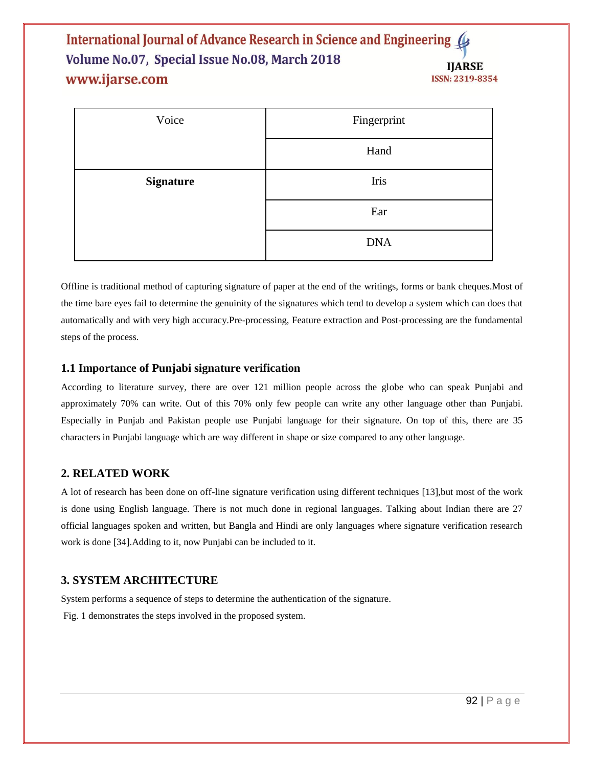| Voice            | Fingerprint |  |
|------------------|-------------|--|
|                  | Hand        |  |
| <b>Signature</b> | Iris        |  |
|                  | Ear         |  |
|                  | <b>DNA</b>  |  |

Offline is traditional method of capturing signature of paper at the end of the writings, forms or bank cheques.Most of the time bare eyes fail to determine the genuinity of the signatures which tend to develop a system which can does that automatically and with very high accuracy.Pre-processing, Feature extraction and Post-processing are the fundamental steps of the process.

## **1.1 Importance of Punjabi signature verification**

According to literature survey, there are over 121 million people across the globe who can speak Punjabi and approximately 70% can write. Out of this 70% only few people can write any other language other than Punjabi. Especially in Punjab and Pakistan people use Punjabi language for their signature. On top of this, there are 35 characters in Punjabi language which are way different in shape or size compared to any other language.

## **2. RELATED WORK**

A lot of research has been done on off-line signature verification using different techniques [13],but most of the work is done using English language. There is not much done in regional languages. Talking about Indian there are 27 official languages spoken and written, but Bangla and Hindi are only languages where signature verification research work is done [34].Adding to it, now Punjabi can be included to it.

## **3. SYSTEM ARCHITECTURE**

System performs a sequence of steps to determine the authentication of the signature. Fig. 1 demonstrates the steps involved in the proposed system.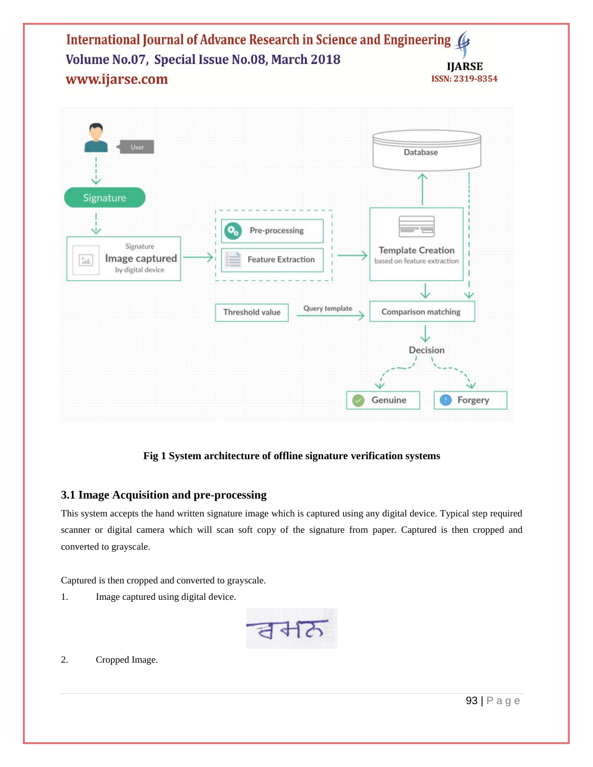

## **Fig 1 System architecture of offline signature verification systems**

#### **3.1 Image Acquisition and pre-processing**

This system accepts the hand written signature image which is captured using any digital device. Typical step required scanner or digital camera which will scan soft copy of the signature from paper. Captured is then cropped and converted to grayscale.

Captured is then cropped and converted to grayscale.

1. Image captured using digital device.



2. Cropped Image.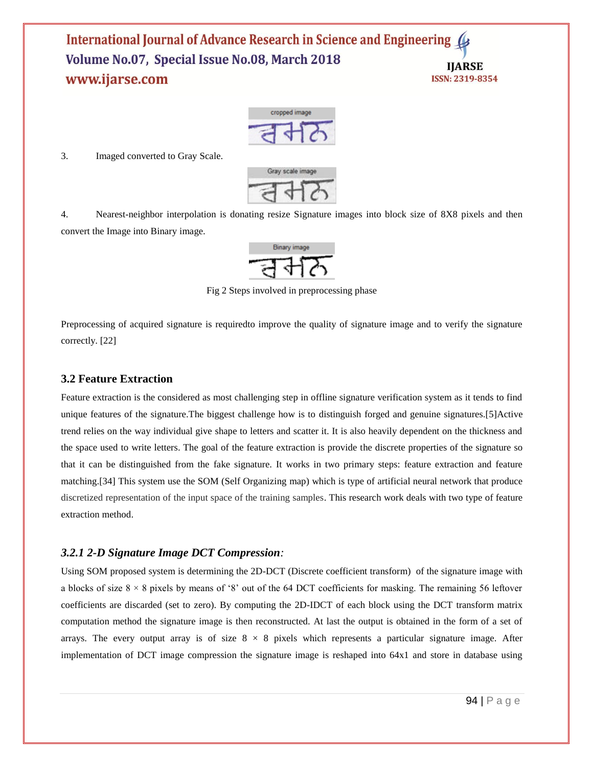

3. Imaged converted to Gray Scale.



4. Nearest-neighbor interpolation is donating resize Signature images into block size of 8X8 pixels and then convert the Image into Binary image.



Fig 2 Steps involved in preprocessing phase

Preprocessing of acquired signature is requiredto improve the quality of signature image and to verify the signature correctly. [22]

#### **3.2 Feature Extraction**

Feature extraction is the considered as most challenging step in offline signature verification system as it tends to find unique features of the signature.The biggest challenge how is to distinguish forged and genuine signatures.[5]Active trend relies on the way individual give shape to letters and scatter it. It is also heavily dependent on the thickness and the space used to write letters. The goal of the feature extraction is provide the discrete properties of the signature so that it can be distinguished from the fake signature. It works in two primary steps: feature extraction and feature matching.[34] This system use the SOM (Self Organizing map) which is type of artificial neural network that produce discretized representation of the input space of the training samples. This research work deals with two type of feature extraction method.

#### *3.2.1 2-D Signature Image DCT Compression:*

Using SOM proposed system is determining the 2D-DCT (Discrete coefficient transform) of the signature image with a blocks of size  $8 \times 8$  pixels by means of '8' out of the 64 DCT coefficients for masking. The remaining 56 leftover coefficients are discarded (set to zero). By computing the 2D-IDCT of each block using the DCT transform matrix computation method the signature image is then reconstructed. At last the output is obtained in the form of a set of arrays. The every output array is of size  $8 \times 8$  pixels which represents a particular signature image. After implementation of DCT image compression the signature image is reshaped into 64x1 and store in database using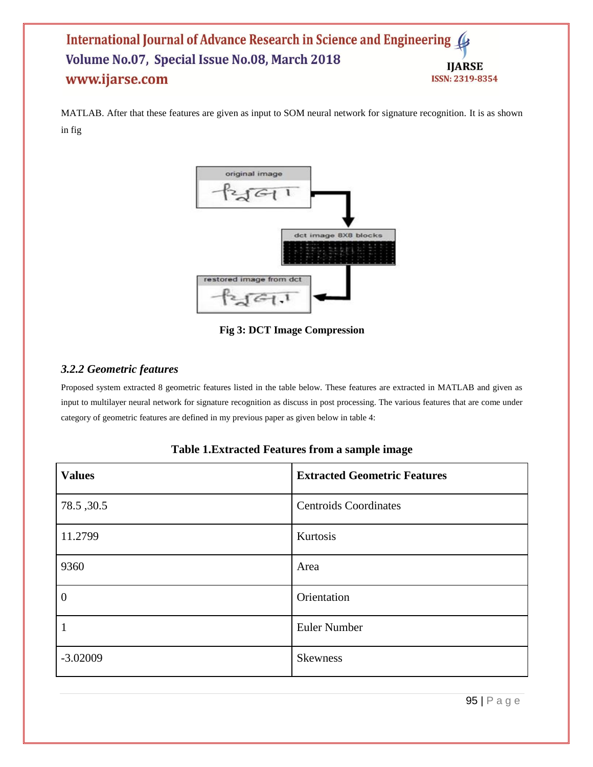MATLAB. After that these features are given as input to SOM neural network for signature recognition. It is as shown in fig



**Fig 3: DCT Image Compression**

## *3.2.2 Geometric features*

Proposed system extracted 8 geometric features listed in the table below. These features are extracted in MATLAB and given as input to multilayer neural network for signature recognition as discuss in post processing. The various features that are come under category of geometric features are defined in my previous paper as given below in table 4:

## **Table 1.Extracted Features from a sample image**

| <b>Values</b>  | <b>Extracted Geometric Features</b> |
|----------------|-------------------------------------|
| 78.5, 30.5     | <b>Centroids Coordinates</b>        |
| 11.2799        | Kurtosis                            |
| 9360           | Area                                |
| $\overline{0}$ | Orientation                         |
|                | Euler Number                        |
| $-3.02009$     | <b>Skewness</b>                     |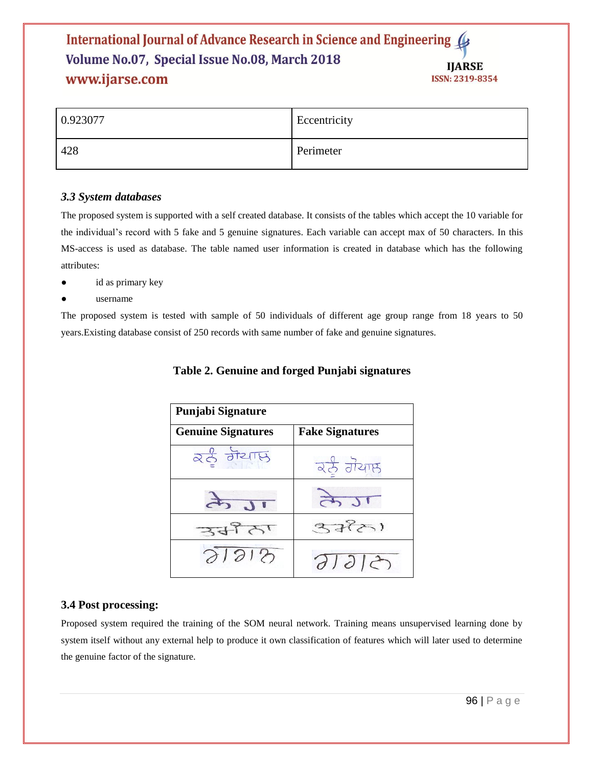| 0.923077 | Eccentricity |
|----------|--------------|
| 428      | Perimeter    |

## *3.3 System databases*

The proposed system is supported with a self created database. It consists of the tables which accept the 10 variable for the individual's record with 5 fake and 5 genuine signatures. Each variable can accept max of 50 characters. In this MS-access is used as database. The table named user information is created in database which has the following attributes:

- id as primary key
- username

The proposed system is tested with sample of 50 individuals of different age group range from 18 years to 50 years.Existing database consist of 250 records with same number of fake and genuine signatures.

| Punjabi Signature         |                        |  |  |  |
|---------------------------|------------------------|--|--|--|
| <b>Genuine Signatures</b> | <b>Fake Signatures</b> |  |  |  |
| ਕਨੂੰ ਗੋਪਾਲ                | रहे गैयाछ              |  |  |  |
|                           |                        |  |  |  |
| $27 + 1$                  | 377)                   |  |  |  |
| 21212                     | 310                    |  |  |  |

## **Table 2. Genuine and forged Punjabi signatures**

## **3.4 Post processing:**

Proposed system required the training of the SOM neural network. Training means unsupervised learning done by system itself without any external help to produce it own classification of features which will later used to determine the genuine factor of the signature.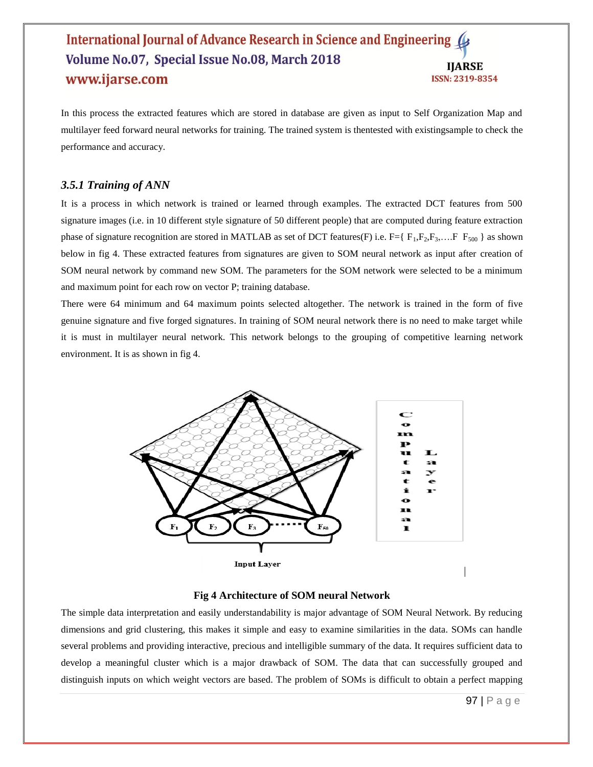In this process the extracted features which are stored in database are given as input to Self Organization Map and multilayer feed forward neural networks for training. The trained system is thentested with existingsample to check the performance and accuracy.

#### *3.5.1 Training of ANN*

It is a process in which network is trained or learned through examples. The extracted DCT features from 500 signature images (i.e. in 10 different style signature of 50 different people) that are computed during feature extraction phase of signature recognition are stored in MATLAB as set of DCT features(F) i.e.  $F = \{F_1, F_2, F_3, \dots, F\}$   $F_{500}$  as shown below in fig 4. These extracted features from signatures are given to SOM neural network as input after creation of SOM neural network by command new SOM. The parameters for the SOM network were selected to be a minimum and maximum point for each row on vector P; training database.

There were 64 minimum and 64 maximum points selected altogether. The network is trained in the form of five genuine signature and five forged signatures. In training of SOM neural network there is no need to make target while it is must in multilayer neural network. This network belongs to the grouping of competitive learning network environment. It is as shown in fig 4.



#### **Fig 4 Architecture of SOM neural Network**

The simple data interpretation and easily understandability is major advantage of SOM Neural Network. By reducing dimensions and grid clustering, this makes it simple and easy to examine similarities in the data. SOMs can handle several problems and providing interactive, precious and intelligible summary of the data. It requires sufficient data to develop a meaningful cluster which is a major drawback of SOM. The data that can successfully grouped and distinguish inputs on which weight vectors are based. The problem of SOMs is difficult to obtain a perfect mapping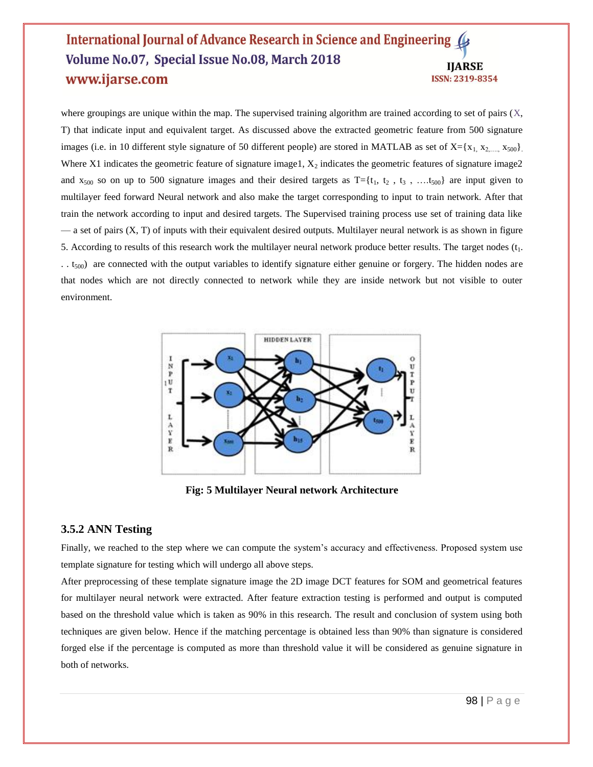where groupings are unique within the map. The supervised training algorithm are trained according to set of pairs  $(X, \mathcal{X})$ T) that indicate input and equivalent target. As discussed above the extracted geometric feature from 500 signature images (i.e. in 10 different style signature of 50 different people) are stored in MATLAB as set of  $X = \{x_1, x_2, \ldots, x_{500}\}\.$ Where X1 indicates the geometric feature of signature image1,  $X_2$  indicates the geometric features of signature image2 and  $x_{500}$  so on up to 500 signature images and their desired targets as  $T = \{t_1, t_2, t_3, \ldots, t_{500}\}$  are input given to multilayer feed forward Neural network and also make the target corresponding to input to train network. After that train the network according to input and desired targets. The Supervised training process use set of training data like — a set of pairs (X, T) of inputs with their equivalent desired outputs. Multilayer neural network is as shown in figure 5. According to results of this research work the multilayer neural network produce better results. The target nodes  $(t_1, t_2)$ .. t<sub>500</sub>) are connected with the output variables to identify signature either genuine or forgery. The hidden nodes are that nodes which are not directly connected to network while they are inside network but not visible to outer environment.



**Fig: 5 Multilayer Neural network Architecture**

#### **3.5.2 ANN Testing**

Finally, we reached to the step where we can compute the system's accuracy and effectiveness. Proposed system use template signature for testing which will undergo all above steps.

After preprocessing of these template signature image the 2D image DCT features for SOM and geometrical features for multilayer neural network were extracted. After feature extraction testing is performed and output is computed based on the threshold value which is taken as 90% in this research. The result and conclusion of system using both techniques are given below. Hence if the matching percentage is obtained less than 90% than signature is considered forged else if the percentage is computed as more than threshold value it will be considered as genuine signature in both of networks.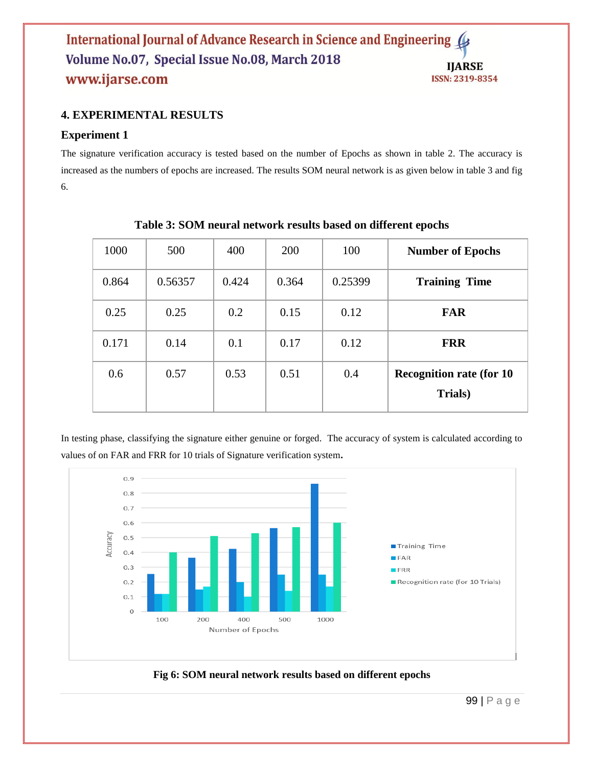## **4. EXPERIMENTAL RESULTS**

## **Experiment 1**

The signature verification accuracy is tested based on the number of Epochs as shown in table 2. The accuracy is increased as the numbers of epochs are increased. The results SOM neural network is as given below in table 3 and fig 6.

| <b>Number of Epochs</b>                     | 100     | 200   | 400   | 500     | 1000  |
|---------------------------------------------|---------|-------|-------|---------|-------|
| <b>Training Time</b>                        | 0.25399 | 0.364 | 0.424 | 0.56357 | 0.864 |
| <b>FAR</b>                                  | 0.12    | 0.15  | 0.2   | 0.25    | 0.25  |
| <b>FRR</b>                                  | 0.12    | 0.17  | 0.1   | 0.14    | 0.171 |
| <b>Recognition rate (for 10)</b><br>Trials) | 0.4     | 0.51  | 0.53  | 0.57    | 0.6   |

**Table 3: SOM neural network results based on different epochs**

In testing phase, classifying the signature either genuine or forged. The accuracy of system is calculated according to values of on FAR and FRR for 10 trials of Signature verification system**.** 



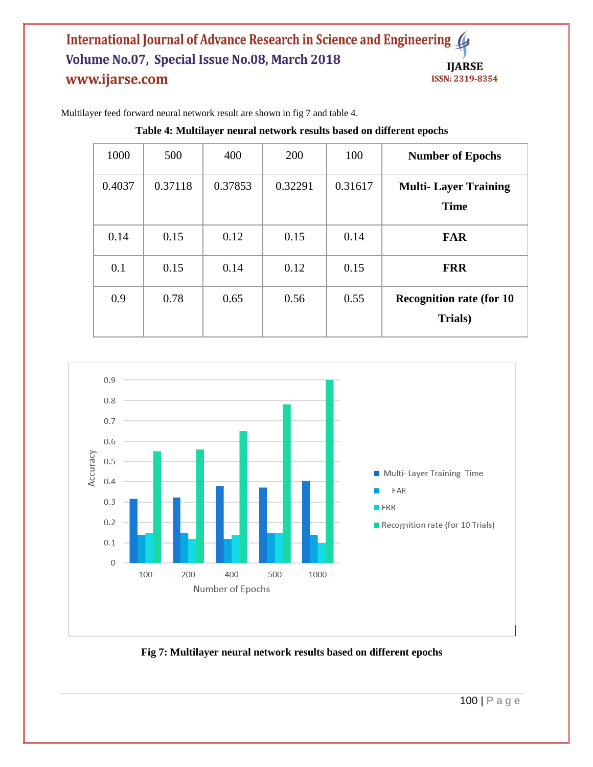| <b>Number of Epochs</b>                     | 100     | 200     | 400     | 500     | 1000   |
|---------------------------------------------|---------|---------|---------|---------|--------|
| <b>Multi-Layer Training</b><br><b>Time</b>  | 0.31617 | 0.32291 | 0.37853 | 0.37118 | 0.4037 |
| <b>FAR</b>                                  | 0.14    | 0.15    | 0.12    | 0.15    | 0.14   |
| <b>FRR</b>                                  | 0.15    | 0.12    | 0.14    | 0.15    | 0.1    |
| <b>Recognition rate (for 10)</b><br>Trials) | 0.55    | 0.56    | 0.65    | 0.78    | 0.9    |

Multilayer feed forward neural network result are shown in fig 7 and table 4.

**Table 4: Multilayer neural network results based on different epochs**



**Fig 7: Multilayer neural network results based on different epochs**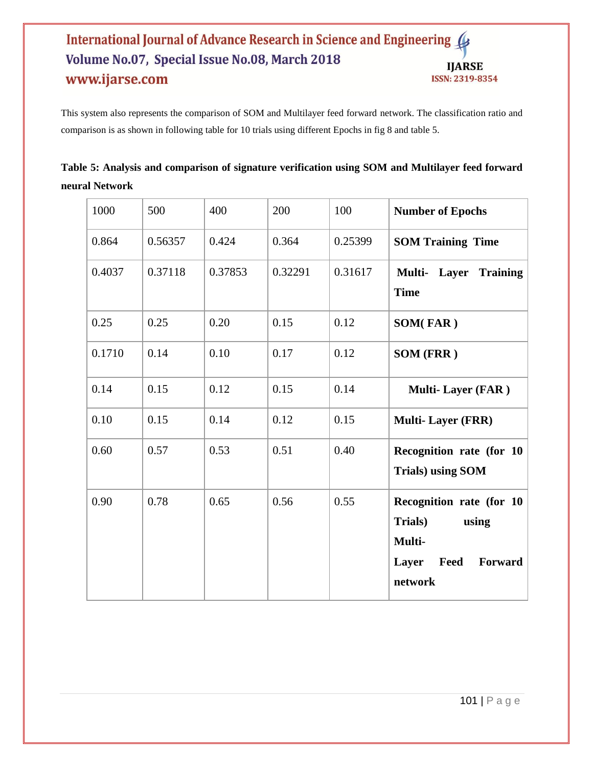This system also represents the comparison of SOM and Multilayer feed forward network. The classification ratio and comparison is as shown in following table for 10 trials using different Epochs in fig 8 and table 5.

|                | Table 5: Analysis and comparison of signature verification using SOM and Multilayer feed forward |  |  |
|----------------|--------------------------------------------------------------------------------------------------|--|--|
| neural Network |                                                                                                  |  |  |

| 1000   | 500     | 400     | 200     | 100     | <b>Number of Epochs</b>                                                                       |
|--------|---------|---------|---------|---------|-----------------------------------------------------------------------------------------------|
| 0.864  | 0.56357 | 0.424   | 0.364   | 0.25399 | <b>SOM Training Time</b>                                                                      |
| 0.4037 | 0.37118 | 0.37853 | 0.32291 | 0.31617 | Multi-<br>Layer<br><b>Training</b><br><b>Time</b>                                             |
| 0.25   | 0.25    | 0.20    | 0.15    | 0.12    | <b>SOM(FAR)</b>                                                                               |
| 0.1710 | 0.14    | 0.10    | 0.17    | 0.12    | SOM (FRR)                                                                                     |
| 0.14   | 0.15    | 0.12    | 0.15    | 0.14    | <b>Multi-Layer (FAR)</b>                                                                      |
| 0.10   | 0.15    | 0.14    | 0.12    | 0.15    | <b>Multi-Layer (FRR)</b>                                                                      |
| 0.60   | 0.57    | 0.53    | 0.51    | 0.40    | Recognition rate (for 10<br><b>Trials)</b> using SOM                                          |
| 0.90   | 0.78    | 0.65    | 0.56    | 0.55    | Recognition rate (for 10<br>Trials)<br>using<br>Multi-<br>Feed<br>Layer<br>Forward<br>network |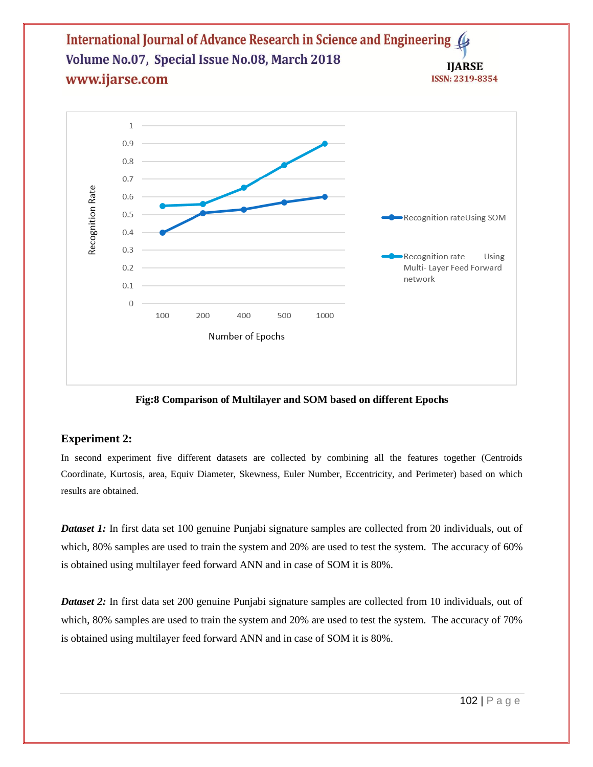

**Fig:8 Comparison of Multilayer and SOM based on different Epochs**

## **Experiment 2:**

In second experiment five different datasets are collected by combining all the features together (Centroids Coordinate, Kurtosis, area, Equiv Diameter, Skewness, Euler Number, Eccentricity, and Perimeter) based on which results are obtained.

*Dataset 1:* In first data set 100 genuine Punjabi signature samples are collected from 20 individuals, out of which, 80% samples are used to train the system and 20% are used to test the system. The accuracy of 60% is obtained using multilayer feed forward ANN and in case of SOM it is 80%.

*Dataset 2:* In first data set 200 genuine Punjabi signature samples are collected from 10 individuals, out of which, 80% samples are used to train the system and 20% are used to test the system. The accuracy of 70% is obtained using multilayer feed forward ANN and in case of SOM it is 80%.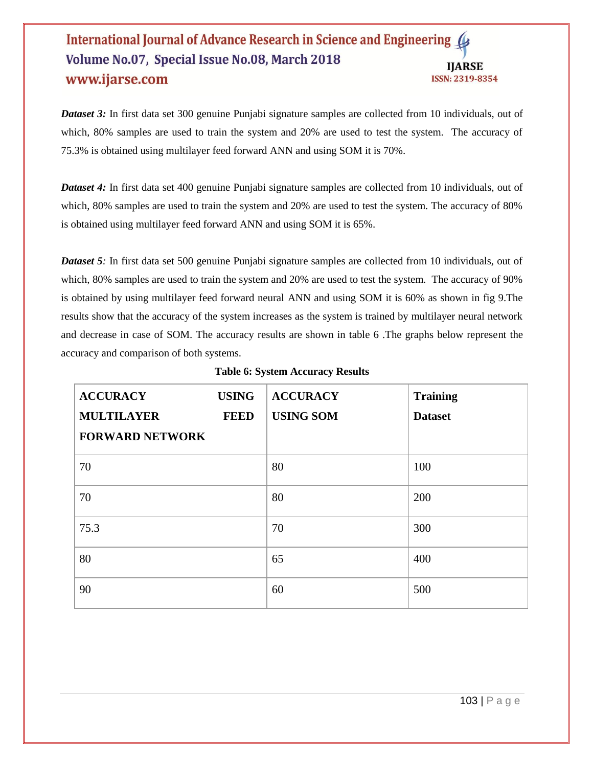*Dataset 3:* In first data set 300 genuine Punjabi signature samples are collected from 10 individuals, out of which, 80% samples are used to train the system and 20% are used to test the system. The accuracy of 75.3% is obtained using multilayer feed forward ANN and using SOM it is 70%.

*Dataset 4:* In first data set 400 genuine Punjabi signature samples are collected from 10 individuals, out of which, 80% samples are used to train the system and 20% are used to test the system. The accuracy of 80% is obtained using multilayer feed forward ANN and using SOM it is 65%.

*Dataset 5*: In first data set 500 genuine Punjabi signature samples are collected from 10 individuals, out of which, 80% samples are used to train the system and 20% are used to test the system. The accuracy of 90% is obtained by using multilayer feed forward neural ANN and using SOM it is 60% as shown in fig 9.The results show that the accuracy of the system increases as the system is trained by multilayer neural network and decrease in case of SOM. The accuracy results are shown in table 6 .The graphs below represent the accuracy and comparison of both systems.

| <b>ACCURACY</b>        | <b>USING</b> | <b>ACCURACY</b>  | <b>Training</b> |
|------------------------|--------------|------------------|-----------------|
| <b>MULTILAYER</b>      | <b>FEED</b>  | <b>USING SOM</b> | <b>Dataset</b>  |
| <b>FORWARD NETWORK</b> |              |                  |                 |
| 70                     |              | 80               | 100             |
| 70                     |              | 80               | 200             |
| 75.3                   |              | 70               | 300             |
| 80                     |              | 65               | 400             |
| 90                     |              | 60               | 500             |

**Table 6: System Accuracy Results**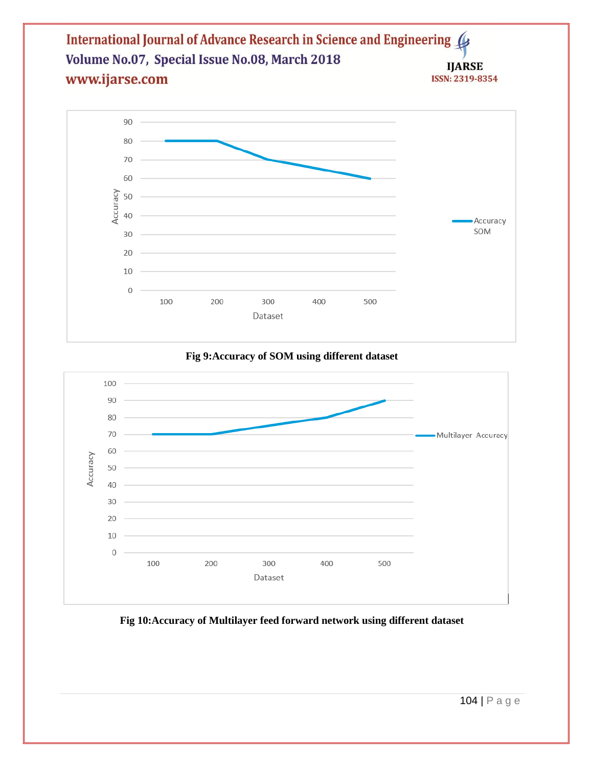

**Fig 9:Accuracy of SOM using different dataset**



## **Fig 10:Accuracy of Multilayer feed forward network using different dataset**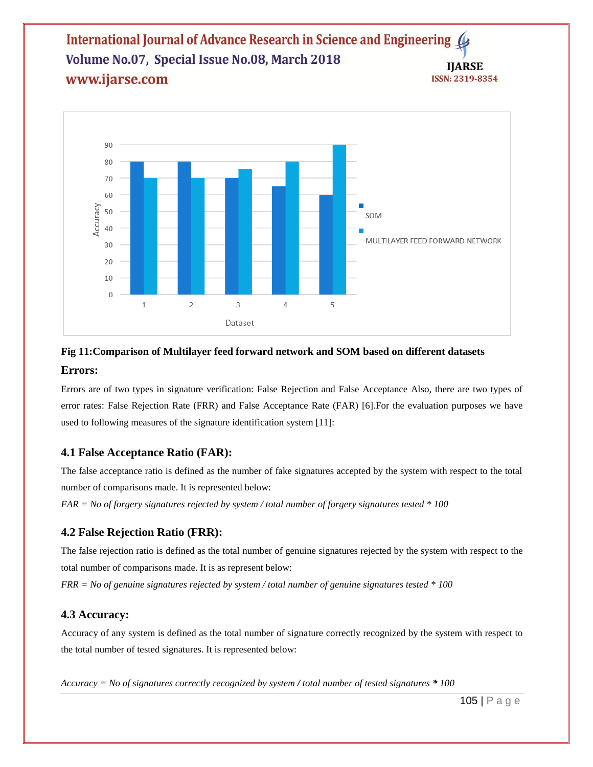

## **Fig 11:Comparison of Multilayer feed forward network and SOM based on different datasets Errors:**

Errors are of two types in signature verification: False Rejection and False Acceptance Also, there are two types of error rates: False Rejection Rate (FRR) and False Acceptance Rate (FAR) [6].For the evaluation purposes we have used to following measures of the signature identification system [11]:

## **4.1 False Acceptance Ratio (FAR):**

The false acceptance ratio is defined as the number of fake signatures accepted by the system with respect to the total number of comparisons made. It is represented below:

*FAR = No of forgery signatures rejected by system / total number of forgery signatures tested \* 100* 

## **4.2 False Rejection Ratio (FRR):**

The false rejection ratio is defined as the total number of genuine signatures rejected by the system with respect to the total number of comparisons made. It is as represent below:

*FRR = No of genuine signatures rejected by system / total number of genuine signatures tested \* 100* 

## **4.3 Accuracy:**

Accuracy of any system is defined as the total number of signature correctly recognized by the system with respect to the total number of tested signatures. It is represented below:

*Accuracy = No of signatures correctly recognized by system / total number of tested signatures \* 100*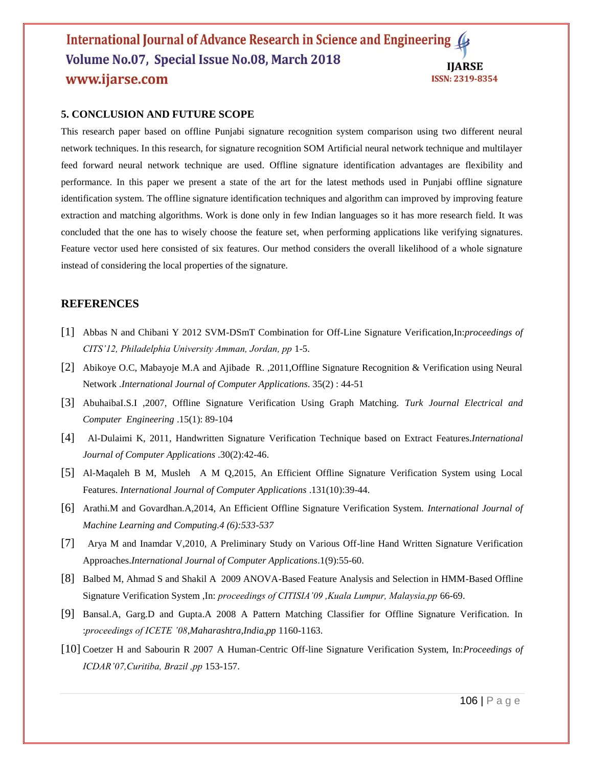#### **5. CONCLUSION AND FUTURE SCOPE**

This research paper based on offline Punjabi signature recognition system comparison using two different neural network techniques. In this research, for signature recognition SOM Artificial neural network technique and multilayer feed forward neural network technique are used. Offline signature identification advantages are flexibility and performance. In this paper we present a state of the art for the latest methods used in Punjabi offline signature identification system. The offline signature identification techniques and algorithm can improved by improving feature extraction and matching algorithms. Work is done only in few Indian languages so it has more research field. It was concluded that the one has to wisely choose the feature set, when performing applications like verifying signatures. Feature vector used here consisted of six features. Our method considers the overall likelihood of a whole signature instead of considering the local properties of the signature.

## **REFERENCES**

- [1] Abbas N and Chibani Y 2012 SVM-DSmT Combination for Off-Line Signature Verification,In:*proceedings of CITS'12, Philadelphia University Amman, Jordan, pp* 1-5.
- [2] Abikoye O.C, Mabayoje M.A and Ajibade R. ,2011,Offline Signature Recognition & Verification using Neural Network .*International Journal of Computer Applications*. 35(2) : 44-51
- [3] AbuhaibaI.S.I ,2007, Offline Signature Verification Using Graph Matching. *Turk Journal Electrical and Computer Engineering* .15(1): 89-104
- [4] Al-Dulaimi K, 2011, Handwritten Signature Verification Technique based on Extract Features.*International Journal of Computer Applications* .30(2):42-46.
- [5] Al-Maqaleh B M, Musleh A M Q,2015, An Efficient Offline Signature Verification System using Local Features. *International Journal of Computer Applications* .131(10):39-44.
- [6] Arathi.M and Govardhan.A,2014, An Efficient Offline Signature Verification System. *International Journal of Machine Learning and Computing.4 (6):533-537*
- [7] Arya M and Inamdar V,2010, A Preliminary Study on Various Off-line Hand Written Signature Verification Approaches.*International Journal of Computer Applications*.1(9):55-60.
- [8] Balbed M, Ahmad S and Shakil A 2009 ANOVA-Based Feature Analysis and Selection in HMM-Based Offline Signature Verification System ,In: *proceedings of CITISIA'09 ,Kuala Lumpur, Malaysia,pp* 66-69.
- [9] Bansal.A, Garg.D and Gupta.A 2008 A Pattern Matching Classifier for Offline Signature Verification. In :*proceedings of ICETE '08*,*Maharashtra,India,pp* 1160-1163.
- [10] Coetzer H and Sabourin R 2007 A Human-Centric Off-line Signature Verification System, In:*Proceedings of ICDAR'07,Curitiba, Brazil ,pp* 153-157.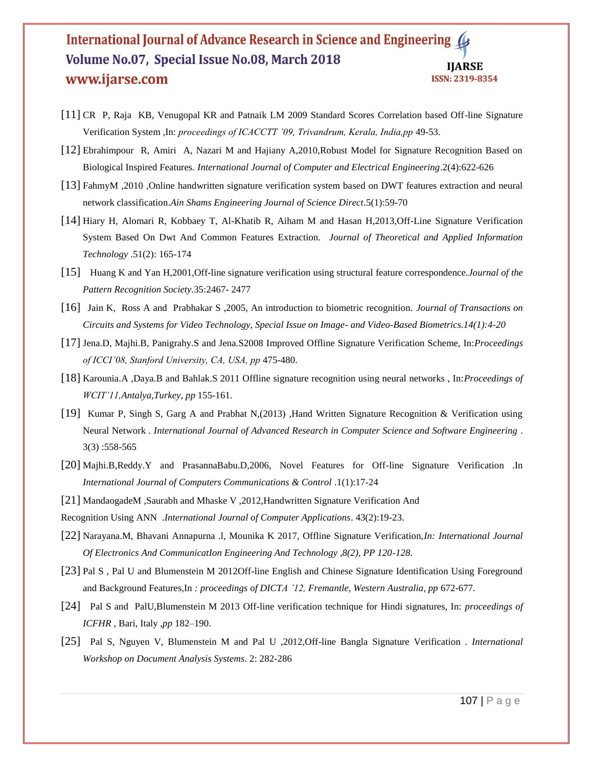- [11] CR P, Raja KB, Venugopal KR and Patnaik LM 2009 Standard Scores Correlation based Off-line Signature Verification System ,In: *proceedings of ICACCTT '09, Trivandrum, Kerala, India,pp* 49-53.
- [12] Ebrahimpour R, Amiri A, Nazari M and Hajiany A,2010,Robust Model for Signature Recognition Based on Biological Inspired Features. *International Journal of Computer and Electrical Engineering*.2(4):622-626
- [13] FahmyM ,2010 ,Online handwritten signature verification system based on DWT features extraction and neural network classification.*Ain Shams Engineering Journal of Science Direct*.5(1):59-70
- [14] Hiary H, Alomari R, Kobbaey T, Al-Khatib R, Aiham M and Hasan H,2013,Off-Line Signature Verification System Based On Dwt And Common Features Extraction. *Journal of Theoretical and Applied Information Technology* .51(2): 165-174
- [15] Huang K and Yan H,2001,Off-line signature verification using structural feature correspondence.*Journal of the Pattern Recognition Society.*35:2467- 2477
- [16] Jain K, Ross A and Prabhakar S ,2005, An introduction to biometric recognition. *Journal of Transactions on Circuits and Systems for Video Technology, Special Issue on Image- and Video-Based Biometrics.14(1):4-20*
- [17] Jena.D, Majhi.B, Panigrahy.S and Jena.S2008 Improved Offline Signature Verification Scheme, In:*Proceedings of ICCI'08, Stanford University, CA, USA, pp* 475-480.
- [18] Karounia.A ,Daya.B and Bahlak.S 2011 Offline signature recognition using neural networks , In:*Proceedings of WCIT'11[,Antalya,](http://www.allconferences.com/search/index/Venue__country:Turkey/Venue__city:Antalya)[Turkey,](http://www.allconferences.com/search/index/Venue__country:Turkey) pp* 155-161.
- [19] Kumar P, Singh S, Garg A and Prabhat N,(2013) ,Hand Written Signature Recognition & Verification using Neural Network . *International Journal of Advanced Research in Computer Science and Software Engineering* . 3(3) :558-565
- [20] Majhi.B,Reddy.Y and PrasannaBabu.D,2006, Novel Features for Off-line Signature Verification .In *International Journal of Computers Communications & Control* .1(1):17-24
- [21] MandaogadeM ,Saurabh and Mhaske V ,2012,Handwritten Signature Verification And

Recognition Using ANN .*International Journal of Computer Applications*. 43(2):19-23.

- [22] Narayana.M, Bhavani Annapurna .l, Mounika K 2017, Offline Signature Verification,*In: International Journal Of Electronics And CommunicatIon Engineering And Technology ,8(2), PP 120-128.*
- [23] Pal S , Pal U and Blumenstein M 2012Off-line English and Chinese Signature Identification Using Foreground and Background Features,In : proceedings of DICTA '12, Fremantle, Western Australia, pp 672-677.
- [24] Pal S and PalU,Blumenstein M 2013 Off-line verification technique for Hindi signatures, In: *proceedings of ICFHR* , Bari, Italy ,*pp* 182–190.
- [25] Pal S, Nguyen V, Blumenstein M and Pal U ,2012,Off-line Bangla Signature Verification . *International Workshop on Document Analysis Systems*. 2: 282-286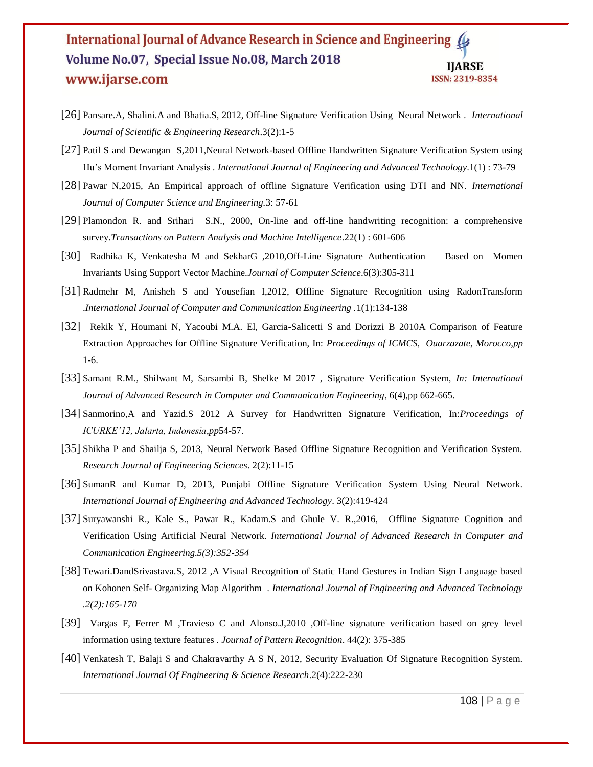- [26] Pansare.A, Shalini.A and Bhatia.S, 2012, Off-line Signature Verification Using Neural Network . *International Journal of Scientific & Engineering Research*.3(2):1-5
- [27] Patil S and Dewangan S,2011,Neural Network-based Offline Handwritten Signature Verification System using Hu's Moment Invariant Analysis *. International Journal of Engineering and Advanced Technology*.1(1) : 73-79
- [28] Pawar N,2015, An Empirical approach of offline Signature Verification using DTI and NN. *International Journal of Computer Science and Engineering.*3: 57-61
- [29] Plamondon R. and Srihari S.N., 2000, On-line and off-line handwriting recognition: a comprehensive survey.*Transactions on Pattern Analysis and Machine Intelligence*.22(1) : 601-606
- [30] Radhika K, Venkatesha M and SekharG ,2010,Off-Line Signature Authentication Based on Momen Invariants Using Support Vector Machine.*Journal of Computer Science*.6(3):305-311
- [31] Radmehr M, Anisheh S and Yousefian I,2012, Offline Signature Recognition using RadonTransform .*International Journal of Computer and Communication Engineering .*1(1):134-138
- [32] Rekik Y, Houmani N, Yacoubi M.A. El, Garcia-Salicetti S and Dorizzi B 2010A Comparison of Feature Extraction Approaches for Offline Signature Verification, In: *Proceedings of ICMCS, Ouarzazate, Morocco,pp* 1-6.
- [33] Samant R.M., Shilwant M, Sarsambi B, Shelke M 2017 , Signature Verification System, *In: International Journal of Advanced Research in Computer and Communication Engineering*, 6(4),pp 662-665.
- [34] Sanmorino,A and Yazid.S 2012 A Survey for Handwritten Signature Verification, In:*Proceedings of ICURKE'12, Jalarta, Indonesia*,*pp*54-57.
- [35] Shikha P and Shailja S, 2013, Neural Network Based Offline Signature Recognition and Verification System. *Research Journal of Engineering Sciences*. 2(2):11-15
- [36] SumanR and Kumar D, 2013, Punjabi Offline Signature Verification System Using Neural Network. *International Journal of Engineering and Advanced Technology*. 3(2):419-424
- [37] Suryawanshi R., Kale S., Pawar R., Kadam.S and Ghule V. R.,2016, Offline Signature Cognition and Verification Using Artificial Neural Network. *International Journal of Advanced Research in Computer and Communication Engineering.5(3):352-354*
- [38] Tewari.DandSrivastava.S, 2012 ,A Visual Recognition of Static Hand Gestures in Indian Sign Language based on Kohonen Self- Organizing Map Algorithm . *International Journal of Engineering and Advanced Technology .2(2):165-170*
- [39] Vargas F, Ferrer M ,Travieso C and Alonso.J,2010 ,Off-line signature verification based on grey level information using texture features *. Journal of Pattern Recognition*. 44(2): 375-385
- [40] Venkatesh T, Balaji S and Chakravarthy A S N, 2012, Security Evaluation Of Signature Recognition System. *International Journal Of Engineering & Science Research*.2(4):222-230